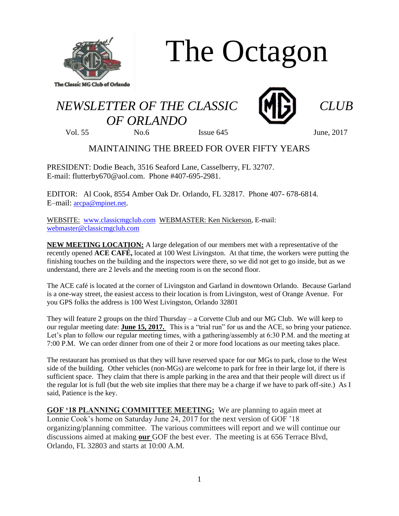

The Octagon

## *NEWSLETTER OF THE CLASSIC CLUB OF ORLANDO*



Vol. 55 No.6 Issue 645 June, 2017

## MAINTAINING THE BREED FOR OVER FIFTY YEARS

PRESIDENT: Dodie Beach, 3516 Seaford Lane, Casselberry, FL 32707. E-mail: flutterby670@aol.com. Phone #407-695-2981.

EDITOR: Al Cook, 8554 Amber Oak Dr. Orlando, FL 32817. Phone 407- 678-6814. E–mail: [arcpa@mpinet.net](mailto:arcpa@mpinet.net).

WEBSITE: [www.classicmgclub.com](http://www.classicmgclub.com/) WEBMASTER: Ken Nickerson, E-mail: [webmaster@classicmgclub.com](mailto:webmaster@classicmgclub.com)

**NEW MEETING LOCATION:** A large delegation of our members met with a representative of the recently opened **ACE CAFÉ,** located at 100 West Livingston. At that time, the workers were putting the finishing touches on the building and the inspectors were there, so we did not get to go inside, but as we understand, there are 2 levels and the meeting room is on the second floor.

The ACE café is located at the corner of Livingston and Garland in downtown Orlando. Because Garland is a one-way street, the easiest access to their location is from Livingston, west of Orange Avenue. For you GPS folks the address is 100 West Livingston, Orlando 32801

They will feature 2 groups on the third Thursday – a Corvette Club and our MG Club. We will keep to our regular meeting date: **June 15, 2017.** This is a "trial run" for us and the ACE, so bring your patience. Let's plan to follow our regular meeting times, with a gathering/assembly at 6:30 P.M. and the meeting at 7:00 P.M. We can order dinner from one of their 2 or more food locations as our meeting takes place.

The restaurant has promised us that they will have reserved space for our MGs to park, close to the West side of the building. Other vehicles (non-MGs) are welcome to park for free in their large lot, if there is sufficient space. They claim that there is ample parking in the area and that their people will direct us if the regular lot is full (but the web site implies that there may be a charge if we have to park off-site.) As I said, Patience is the key.

**GOF '18 PLANNING COMMITTEE MEETING:** We are planning to again meet at Lonnie Cook's home on Saturday June 24, 2017 for the next version of GOF '18 organizing/planning committee. The various committees will report and we will continue our discussions aimed at making **our** GOF the best ever. The meeting is at 656 Terrace Blvd, Orlando, FL 32803 and starts at 10:00 A.M.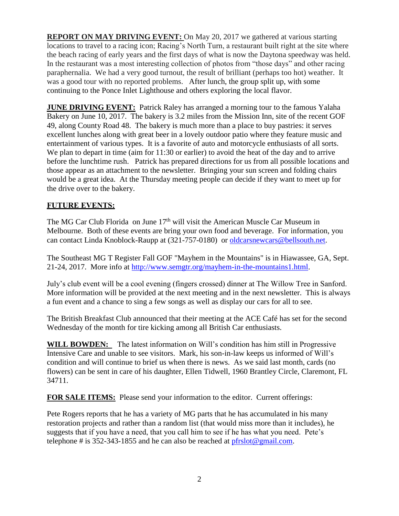**REPORT ON MAY DRIVING EVENT:** On May 20, 2017 we gathered at various starting locations to travel to a racing icon; Racing's North Turn, a restaurant built right at the site where the beach racing of early years and the first days of what is now the Daytona speedway was held. In the restaurant was a most interesting collection of photos from "those days" and other racing paraphernalia. We had a very good turnout, the result of brilliant (perhaps too hot) weather. It was a good tour with no reported problems. After lunch, the group split up, with some continuing to the Ponce Inlet Lighthouse and others exploring the local flavor.

**JUNE DRIVING EVENT:** Patrick Raley has arranged a morning tour to the famous Yalaha Bakery on June 10, 2017. The bakery is 3.2 miles from the Mission Inn, site of the recent GOF 49, along County Road 48. The bakery is much more than a place to buy pastries: it serves excellent lunches along with great beer in a lovely outdoor patio where they feature music and entertainment of various types. It is a favorite of auto and motorcycle enthusiasts of all sorts. We plan to depart in time (aim for 11:30 or earlier) to avoid the heat of the day and to arrive before the lunchtime rush. Patrick has prepared directions for us from all possible locations and those appear as an attachment to the newsletter. Bringing your sun screen and folding chairs would be a great idea. At the Thursday meeting people can decide if they want to meet up for the drive over to the bakery.

## **FUTURE EVENTS:**

The MG Car Club Florida on June 17<sup>th</sup> will visit the American Muscle Car Museum in Melbourne. Both of these events are bring your own food and beverage. For information, you can contact Linda Knoblock-Raupp at (321-757-0180) or [oldcarsnewcars@bellsouth.net.](mailto:oldcarsnewcars@bellsouth.net)

The Southeast MG T Register Fall GOF "Mayhem in the Mountains" is in Hiawassee, GA, Sept. 21-24, 2017. More info at [http://www.semgtr.org/mayhem-in-the-mountains1.html.](http://www.semgtr.org/mayhem-in-the-mountains1.html)

July's club event will be a cool evening (fingers crossed) dinner at The Willow Tree in Sanford. More information will be provided at the next meeting and in the next newsletter. This is always a fun event and a chance to sing a few songs as well as display our cars for all to see.

The British Breakfast Club announced that their meeting at the ACE Café has set for the second Wednesday of the month for tire kicking among all British Car enthusiasts.

WILL BOWDEN: The latest information on Will's condition has him still in Progressive Intensive Care and unable to see visitors. Mark, his son-in-law keeps us informed of Will's condition and will continue to brief us when there is news. As we said last month, cards (no flowers) can be sent in care of his daughter, Ellen Tidwell, 1960 Brantley Circle, Claremont, FL 34711.

**FOR SALE ITEMS:** Please send your information to the editor. Current offerings:

Pete Rogers reports that he has a variety of MG parts that he has accumulated in his many restoration projects and rather than a random list (that would miss more than it includes), he suggests that if you have a need, that you call him to see if he has what you need. Pete's telephone # is 352-343-1855 and he can also be reached at  $pfrslot@gmail.com$ .